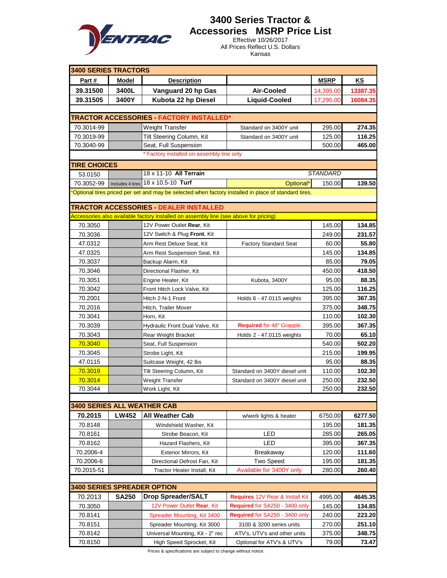

#### **3400 Series Tractor & Accessories MSRP Price List**

Effective 10/26/2017 All Prices Reflect U.S. Dollars Kansas

| <b>3400 SERIES TRACTORS</b>        |              |                                                                                                                               |                                                                                                      |                 |                 |  |
|------------------------------------|--------------|-------------------------------------------------------------------------------------------------------------------------------|------------------------------------------------------------------------------------------------------|-----------------|-----------------|--|
| Part#                              | <b>Model</b> | <b>Description</b>                                                                                                            |                                                                                                      | <b>MSRP</b>     | KS              |  |
| 39.31500                           | 3400L        | Vanguard 20 hp Gas                                                                                                            | Air-Cooled                                                                                           | 14,395.00       | 13387.35        |  |
| 39.31505                           | 3400Y        | Kubota 22 hp Diesel                                                                                                           | Liquid-Cooled                                                                                        | 17,295.00       | 16084.35        |  |
|                                    |              |                                                                                                                               |                                                                                                      |                 |                 |  |
|                                    |              | TRACTOR ACCESSORIES FACTORY INSTALLED*                                                                                        |                                                                                                      |                 |                 |  |
| 70.3014-99                         |              | <b>Weight Transfer</b>                                                                                                        | Standard on 3400Y unit                                                                               | 295.00          | 274.35          |  |
| 70.3019-99                         |              | Tilt Steering Column, Kit                                                                                                     | Standard on 3400Y unit                                                                               | 125.00          | 116.25          |  |
| 70.3040-99                         |              | Seat, Full Suspension                                                                                                         |                                                                                                      | 500.00          | 465.00          |  |
|                                    |              | * Factory installed on assembly line only                                                                                     |                                                                                                      |                 |                 |  |
| <b>TIRE CHOICES</b>                |              |                                                                                                                               |                                                                                                      |                 |                 |  |
| 53.0150                            |              | 18 x 11-10 All Terrain                                                                                                        |                                                                                                      | <b>STANDARD</b> |                 |  |
| 70.3052-99                         |              | Includes 4 tires $18 \times 10.5 - 10$ Turf                                                                                   | Optional*                                                                                            | 150.00          | 139.50          |  |
|                                    |              |                                                                                                                               | Optional tires priced per set and may be selected when factory installed in place of standard tires. |                 |                 |  |
|                                    |              |                                                                                                                               |                                                                                                      |                 |                 |  |
|                                    |              | TRACTOR ACCESSORIES DEALER INSTALLED<br>Accessories also available factory installed on assembly line (see above for pricing) |                                                                                                      |                 |                 |  |
| 70.3050                            |              | 12V Power Outlet Rear, Kit                                                                                                    |                                                                                                      | 145.00          | 134.85          |  |
| 70.3036                            |              | 12V Switch & Plug Front, Kit                                                                                                  |                                                                                                      | 249.00          | 231.57          |  |
| 47.0312                            |              | Arm Rest Deluxe Seat, Kit                                                                                                     | <b>Factory Standard Seat</b>                                                                         | 60.00           | 55.80           |  |
| 47.0325                            |              | Arm Rest Suspension Seat, Kit                                                                                                 |                                                                                                      | 145.00          | 134.85          |  |
| 70.3037                            |              | Backup Alarm, Kit                                                                                                             |                                                                                                      | 85.00           | 79.05           |  |
| 70.3046                            |              | Directional Flasher, Kit                                                                                                      |                                                                                                      | 450.00          | 418.50          |  |
| 70.3051                            |              | Engine Heater, Kit                                                                                                            | Kubota, 3400Y                                                                                        | 95.00           | 88.35           |  |
| 70.3042                            |              | Front Hitch Lock Valve, Kit                                                                                                   |                                                                                                      | 125.00          | 116.25          |  |
| 70.2001                            |              | Hitch 2-N-1 Front                                                                                                             | Holds 6 - 47.0115 weights                                                                            | 395.00          | 367.35          |  |
| 70.2016                            |              | Hitch, Trailer Mover                                                                                                          |                                                                                                      | 375.00          | 348.75          |  |
| 70.3041                            |              | Horn, Kit                                                                                                                     |                                                                                                      | 110.00          | 102.30          |  |
| 70.3039                            |              | Hydraulic Front Dual Valve, Kit                                                                                               | <b>Required for 48" Grapple</b>                                                                      | 395.00          | 367.35          |  |
| 70.3043                            |              | Rear Weight Bracket                                                                                                           | Holds 2 - 47.0115 weights                                                                            | 70.00           | 65.10           |  |
| 70.3040                            |              | Seat, Full Suspension                                                                                                         |                                                                                                      | 540.00          | 502.20          |  |
| 70.3045                            |              | Strobe Light, Kit                                                                                                             |                                                                                                      | 215.00          | 199.95          |  |
| 47.0115                            |              | Suitcase Weight, 42 lbs                                                                                                       |                                                                                                      | 95.00           | 88.35           |  |
| 70.3019                            |              | Tilt Steering Column, Kit                                                                                                     | Standard on 3400Y diesel unit                                                                        | 110.00          | 102.30          |  |
| 70.3014                            |              | Weight Transfer                                                                                                               | Standard on 3400Y diesel unit                                                                        | 250.00          | 232.50          |  |
| 70.3044                            |              | Work Light, Kit                                                                                                               |                                                                                                      | 250.00          | 232.50          |  |
|                                    |              |                                                                                                                               |                                                                                                      |                 |                 |  |
| <b>3400 SERIES ALL WEATHER CAB</b> |              |                                                                                                                               |                                                                                                      |                 |                 |  |
| 70.2015                            | <b>LW452</b> | <b>All Weather Cab</b>                                                                                                        | w/work lights & heater                                                                               | 6750.00         | 6277.50         |  |
| 70.8148                            |              | Windshield Washer, Kit                                                                                                        |                                                                                                      | 195.00          | 181.35          |  |
| 70.8161                            |              | Strobe Beacon, Kit                                                                                                            | LED                                                                                                  | 285.00          | 265.05          |  |
| 70.8162                            |              | Hazard Flashers, Kit                                                                                                          | LED                                                                                                  | 395.00          | 367.35          |  |
| 70.2006-4                          |              | Exterior Mirrors, Kit                                                                                                         | Breakaway                                                                                            | 120.00          | 111.60          |  |
| 70.2006-6                          |              | Directional Defrost Fan, Kit                                                                                                  | <b>Two Speed</b>                                                                                     | 195.00          | 181.35          |  |
| 70.2015-51                         |              | Tractor Heater Install, Kit                                                                                                   | Available for 3400Y only                                                                             | 280.00          | 260.40          |  |
|                                    |              |                                                                                                                               |                                                                                                      |                 |                 |  |
| <b>3400 SERIES SPREADER OPTION</b> |              |                                                                                                                               |                                                                                                      |                 |                 |  |
| 70.2013                            | <b>SA250</b> | <b>Drop Spreader/SALT</b>                                                                                                     | Requires 12V Rear & Install Kit                                                                      | 4995.00         | 4645.35         |  |
| 70.3050                            |              | 12V Power Outlet Rear, Kit                                                                                                    | Required for SA250 - 3400 only                                                                       | 145.00          | 134.85          |  |
| 70.8141                            |              | Spreader Mounting, Kit 3400                                                                                                   | Required for SA250 - 3400 only                                                                       | 240.00          | 223.20          |  |
| 70.8151                            |              | Spreader Mounting, Kit 3000                                                                                                   | 3100 & 3200 series units                                                                             | 270.00          | 251.10          |  |
| 70.8142<br>70.8150                 |              | Universal Mounting, Kit - 2" rec                                                                                              | ATV's, UTV's and other units                                                                         | 375.00<br>79.00 | 348.75<br>73.47 |  |
|                                    |              | High Speed Sprocket, Kit                                                                                                      | Optional for ATV's & UTV's                                                                           |                 |                 |  |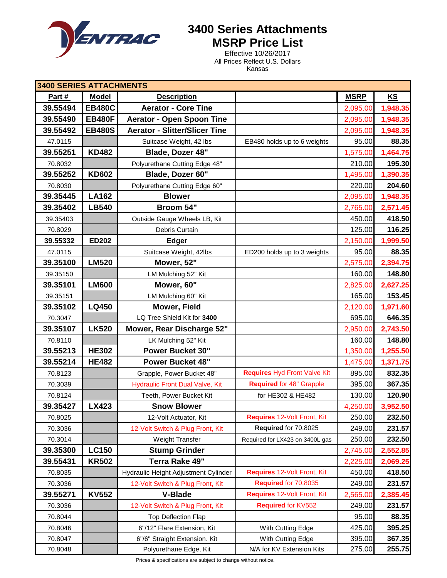

**3400 Series Attachments MSRP Price List** 

> Effective 10/26/2017 All Prices Reflect U.S. Dollars Kansas

| <b>3400 SERIES ATTACHMENTS</b> |               |                                        |                                     |             |          |  |
|--------------------------------|---------------|----------------------------------------|-------------------------------------|-------------|----------|--|
| Part#                          | <b>Model</b>  | <b>Description</b>                     |                                     | <b>MSRP</b> | KS       |  |
| 39.55494                       | <b>EB480C</b> | <b>Aerator - Core Tine</b>             |                                     | 2,095.00    | 1,948.35 |  |
| 39.55490                       | <b>EB480F</b> | <b>Aerator - Open Spoon Tine</b>       |                                     | 2,095.00    | 1,948.35 |  |
| 39.55492                       | <b>EB480S</b> | <b>Aerator - Slitter/Slicer Tine</b>   |                                     | 2,095.00    | 1,948.35 |  |
| 47.0115                        |               | Suitcase Weight, 42 lbs                | EB480 holds up to 6 weights         | 95.00       | 88.35    |  |
| 39.55251                       | <b>KD482</b>  | Blade, Dozer 48"                       |                                     | 1,575.00    | 1,464.75 |  |
| 70.8032                        |               | Polyurethane Cutting Edge 48"          |                                     | 210.00      | 195.30   |  |
| 39.55252                       | <b>KD602</b>  | Blade, Dozer 60"                       |                                     | 1,495.00    | 1,390.35 |  |
| 70.8030                        |               | Polyurethane Cutting Edge 60"          |                                     | 220.00      | 204.60   |  |
| 39.35445                       | <b>LA162</b>  | <b>Blower</b>                          |                                     | 2,095.00    | 1,948.35 |  |
| 39.35402                       | <b>LB540</b>  | Broom 54"                              |                                     | 2,765.00    | 2,571.45 |  |
| 39.35403                       |               | Outside Gauge Wheels LB, Kit           |                                     | 450.00      | 418.50   |  |
| 70.8029                        |               | Debris Curtain                         |                                     | 125.00      | 116.25   |  |
| 39.55332                       | <b>ED202</b>  | <b>Edger</b>                           |                                     | 2,150.00    | 1,999.50 |  |
| 47.0115                        |               | Suitcase Weight, 42lbs                 | ED200 holds up to 3 weights         | 95.00       | 88.35    |  |
| 39.35100                       | <b>LM520</b>  | Mower, 52"                             |                                     | 2,575.00    | 2,394.75 |  |
| 39.35150                       |               | LM Mulching 52" Kit                    |                                     | 160.00      | 148.80   |  |
| 39.35101                       | <b>LM600</b>  | Mower, 60"                             |                                     | 2,825.00    | 2,627.25 |  |
| 39.35151                       |               | LM Mulching 60" Kit                    |                                     | 165.00      | 153.45   |  |
| 39.35102                       | <b>LQ450</b>  | <b>Mower, Field</b>                    |                                     | 2,120.00    | 1,971.60 |  |
| 70.3047                        |               | LQ Tree Shield Kit for 3400            |                                     | 695.00      | 646.35   |  |
| 39.35107                       | <b>LK520</b>  | <b>Mower, Rear Discharge 52"</b>       |                                     | 2,950.00    | 2,743.50 |  |
| 70.8110                        |               | LK Mulching 52" Kit                    |                                     | 160.00      | 148.80   |  |
| 39.55213                       | <b>HE302</b>  | <b>Power Bucket 30"</b>                |                                     | 1,350.00    | 1,255.50 |  |
| 39.55214                       | <b>HE482</b>  | <b>Power Bucket 48"</b>                |                                     | 1,475.00    | 1,371.75 |  |
| 70.8123                        |               | Grapple, Power Bucket 48"              | <b>Requires Hyd Front Valve Kit</b> | 895.00      | 832.35   |  |
| 70.3039                        |               | <b>Hydraulic Front Dual Valve, Kit</b> | <b>Required for 48" Grapple</b>     | 395.00      | 367.35   |  |
| 70.8124                        |               | Teeth, Power Bucket Kit                | for HE302 & HE482                   | 130.00      | 120.90   |  |
| 39.35427                       | <b>LX423</b>  | <b>Snow Blower</b>                     |                                     | 4,250.00    | 3,952.50 |  |
| 70.8025                        |               | 12-Volt Actuator, Kit                  | Requires 12-Volt Front, Kit         | 250.00      | 232.50   |  |
| 70.3036                        |               | 12-Volt Switch & Plug Front, Kit       | Required for 70.8025                | 249.00      | 231.57   |  |
| 70.3014                        |               | Weight Transfer                        | Required for LX423 on 3400L gas     | 250.00      | 232.50   |  |
| 39.35300                       | <b>LC150</b>  | <b>Stump Grinder</b>                   |                                     | 2,745.00    | 2,552.85 |  |
| 39.55431                       | <b>KR502</b>  | Terra Rake 49"                         |                                     | 2,225.00    | 2,069.25 |  |
| 70.8035                        |               | Hydraulic Height Adjustment Cylinder   | Requires 12-Volt Front, Kit         | 450.00      | 418.50   |  |
| 70.3036                        |               | 12-Volt Switch & Plug Front, Kit       | Required for 70.8035                | 249.00      | 231.57   |  |
| 39.55271                       | <b>KV552</b>  | <b>V-Blade</b>                         | Requires 12-Volt Front, Kit         | 2,565.00    | 2,385.45 |  |
| 70.3036                        |               | 12-Volt Switch & Plug Front, Kit       | Required for KV552                  | 249.00      | 231.57   |  |
| 70.8044                        |               | <b>Top Deflection Flap</b>             |                                     | 95.00       | 88.35    |  |
| 70.8046                        |               | 6"/12" Flare Extension, Kit            | With Cutting Edge                   | 425.00      | 395.25   |  |
| 70.8047                        |               | 6"/6" Straight Extension. Kit          | With Cutting Edge                   | 395.00      | 367.35   |  |
| 70.8048                        |               | Polyurethane Edge, Kit                 | N/A for KV Extension Kits           | 275.00      | 255.75   |  |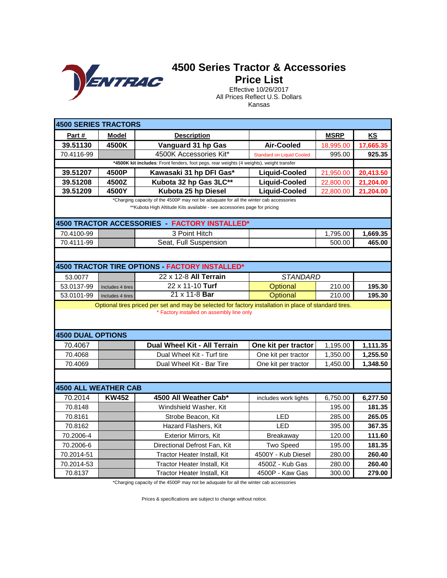

# **Price List**

Effective 10/26/2017 All Prices Reflect U.S. Dollars Kansas

| <b>4500 SERIES TRACTORS</b> |                                                                                                                                                     |                                                                                                                                                                     |                                  |             |           |  |  |
|-----------------------------|-----------------------------------------------------------------------------------------------------------------------------------------------------|---------------------------------------------------------------------------------------------------------------------------------------------------------------------|----------------------------------|-------------|-----------|--|--|
| Part#                       | <b>Model</b>                                                                                                                                        | <b>Description</b>                                                                                                                                                  |                                  | <b>MSRP</b> | KS        |  |  |
| 39.51130                    | 4500K                                                                                                                                               | Vanguard 31 hp Gas                                                                                                                                                  | <b>Air-Cooled</b>                | 18,995.00   | 17,665.35 |  |  |
| 70.4116-99                  |                                                                                                                                                     | 4500K Accessories Kit*                                                                                                                                              | <b>Standard on Liquid Cooled</b> | 995.00      | 925.35    |  |  |
|                             |                                                                                                                                                     | *4500K kit includes: Front fenders, foot pegs, rear weights (4 weights), weight transfer                                                                            |                                  |             |           |  |  |
| 39.51207                    | 4500P                                                                                                                                               | Kawasaki 31 hp DFI Gas*                                                                                                                                             | <b>Liquid-Cooled</b>             | 21,950.00   | 20,413.50 |  |  |
| 39.51208                    | 4500Z                                                                                                                                               | Kubota 32 hp Gas 3LC**                                                                                                                                              | <b>Liquid-Cooled</b>             | 22,800.00   | 21,204.00 |  |  |
| 39.51209                    | 4500Y                                                                                                                                               | Kubota 25 hp Diesel                                                                                                                                                 | <b>Liquid-Cooled</b>             | 22,800.00   | 21,204.00 |  |  |
|                             |                                                                                                                                                     | *Charging capacity of the 4500P may not be aduquate for all the winter cab accessories<br>** Kubota High Altitude Kits available - see accessories page for pricing |                                  |             |           |  |  |
|                             |                                                                                                                                                     | 4500 TRACTOR ACCESSORIES - FACTORY INSTALLED*                                                                                                                       |                                  |             |           |  |  |
| 70.4100-99                  |                                                                                                                                                     | 3 Point Hitch                                                                                                                                                       |                                  | 1,795.00    | 1,669.35  |  |  |
| 70.4111-99                  |                                                                                                                                                     | Seat, Full Suspension                                                                                                                                               |                                  | 500.00      | 465.00    |  |  |
|                             |                                                                                                                                                     |                                                                                                                                                                     |                                  |             |           |  |  |
|                             |                                                                                                                                                     | 4500 TRACTOR TIRE OPTIONS - FACTORY INSTALLED*                                                                                                                      |                                  |             |           |  |  |
| 53.0077                     |                                                                                                                                                     | 22 x 12-8 All Terrain                                                                                                                                               | <b>STANDARD</b>                  |             |           |  |  |
| 53.0137-99                  | Includes 4 tires                                                                                                                                    | 22 x 11-10 Turf                                                                                                                                                     | Optional                         | 210.00      | 195.30    |  |  |
| 53.0101-99                  | Includes 4 tires                                                                                                                                    | 21 x 11-8 Bar                                                                                                                                                       | Optional                         | 210.00      | 195.30    |  |  |
|                             | Optional tires priced per set and may be selected for factory installation in place of standard tires.<br>* Factory installed on assembly line only |                                                                                                                                                                     |                                  |             |           |  |  |
| 4500 DUAL OPTIONS           |                                                                                                                                                     |                                                                                                                                                                     |                                  |             |           |  |  |
| 70.4067                     |                                                                                                                                                     | Dual Wheel Kit - All Terrain                                                                                                                                        | One kit per tractor              | 1,195.00    | 1,111.35  |  |  |
| 70.4068                     |                                                                                                                                                     | Dual Wheel Kit - Turf tire                                                                                                                                          | One kit per tractor              | 1,350.00    | 1,255.50  |  |  |
| 70.4069                     |                                                                                                                                                     | Dual Wheel Kit - Bar Tire                                                                                                                                           | One kit per tractor              | 1,450.00    | 1,348.50  |  |  |
|                             |                                                                                                                                                     |                                                                                                                                                                     |                                  |             |           |  |  |
| <b>4500 ALL WEATHER CAB</b> |                                                                                                                                                     |                                                                                                                                                                     |                                  |             |           |  |  |
| 70.2014                     | <b>KW452</b>                                                                                                                                        | 4500 All Weather Cab*                                                                                                                                               | includes work lights             | 6,750.00    | 6,277.50  |  |  |
| 70.8148                     |                                                                                                                                                     | Windshield Washer, Kit                                                                                                                                              |                                  | 195.00      | 181.35    |  |  |
| 70.8161                     |                                                                                                                                                     | Strobe Beacon, Kit                                                                                                                                                  | <b>LED</b>                       | 285.00      | 265.05    |  |  |
| 70.8162                     |                                                                                                                                                     | Hazard Flashers, Kit                                                                                                                                                | <b>LED</b>                       | 395.00      | 367.35    |  |  |
| 70.2006-4                   |                                                                                                                                                     | <b>Exterior Mirrors, Kit</b>                                                                                                                                        | <b>Breakaway</b>                 | 120.00      | 111.60    |  |  |
| 70.2006-6                   |                                                                                                                                                     | Directional Defrost Fan, Kit                                                                                                                                        | <b>Two Speed</b>                 | 195.00      | 181.35    |  |  |
| 70.2014-51                  |                                                                                                                                                     | Tractor Heater Install, Kit                                                                                                                                         | 4500Y - Kub Diesel               | 280.00      | 260.40    |  |  |
| 70.2014-53                  |                                                                                                                                                     | Tractor Heater Install, Kit                                                                                                                                         | 4500Z - Kub Gas                  | 280.00      | 260.40    |  |  |
| 70.8137                     |                                                                                                                                                     | Tractor Heater Install, Kit                                                                                                                                         | 4500P - Kaw Gas                  | 300.00      | 279.00    |  |  |

\*Charging capacity of the 4500P may not be aduquate for all the winter cab accessories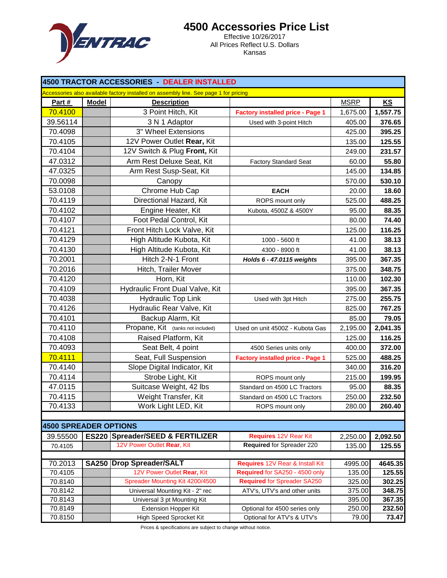

## **4500 Accessories Price List**

Effective 10/26/2017 All Prices Reflect U.S. Dollars Kansas

| 4500 TRACTOR ACCESSORIES - DEALER INSTALLED                                           |              |                                             |                                         |             |           |  |
|---------------------------------------------------------------------------------------|--------------|---------------------------------------------|-----------------------------------------|-------------|-----------|--|
| Accessories also available factory installed on assembly line. See page 1 for pricing |              |                                             |                                         |             |           |  |
| Part #                                                                                | <b>Model</b> | <b>Description</b>                          |                                         | <b>MSRP</b> | <b>KS</b> |  |
| 70.4100                                                                               |              | 3 Point Hitch, Kit                          | <b>Factory installed price - Page 1</b> | 1,675.00    | 1,557.75  |  |
| 39.56114                                                                              |              | 3 N 1 Adaptor                               | Used with 3-point Hitch                 | 405.00      | 376.65    |  |
| 70.4098                                                                               |              | 3" Wheel Extensions                         |                                         | 425.00      | 395.25    |  |
| 70.4105                                                                               |              | 12V Power Outlet Rear, Kit                  |                                         | 135.00      | 125.55    |  |
| 70.4104                                                                               |              | 12V Switch & Plug Front, Kit                |                                         | 249.00      | 231.57    |  |
| 47.0312                                                                               |              | Arm Rest Deluxe Seat, Kit                   | <b>Factory Standard Seat</b>            | 60.00       | 55.80     |  |
| 47.0325                                                                               |              | Arm Rest Susp-Seat, Kit                     |                                         | 145.00      | 134.85    |  |
| 70.0098                                                                               |              | Canopy                                      |                                         | 570.00      | 530.10    |  |
| 53.0108                                                                               |              | Chrome Hub Cap                              | <b>EACH</b>                             | 20.00       | 18.60     |  |
| 70.4119                                                                               |              | Directional Hazard, Kit                     | ROPS mount only                         | 525.00      | 488.25    |  |
| 70.4102                                                                               |              | Engine Heater, Kit                          | Kubota, 4500Z & 4500Y                   | 95.00       | 88.35     |  |
| 70.4107                                                                               |              | Foot Pedal Control, Kit                     |                                         | 80.00       | 74.40     |  |
| 70.4121                                                                               |              | Front Hitch Lock Valve, Kit                 |                                         | 125.00      | 116.25    |  |
| 70.4129                                                                               |              | High Altitude Kubota, Kit                   | 1000 - 5600 ft                          | 41.00       | 38.13     |  |
| 70.4130                                                                               |              | High Altitude Kubota, Kit                   | 4300 - 8900 ft                          | 41.00       | 38.13     |  |
| 70.2001                                                                               |              | Hitch 2-N-1 Front                           | Holds 6 - 47.0115 weights               | 395.00      | 367.35    |  |
| 70.2016                                                                               |              | Hitch, Trailer Mover                        |                                         | 375.00      | 348.75    |  |
| 70.4120                                                                               |              | Horn, Kit                                   |                                         | 110.00      | 102.30    |  |
| 70.4109                                                                               |              | Hydraulic Front Dual Valve, Kit             |                                         | 395.00      | 367.35    |  |
| 70.4038                                                                               |              | <b>Hydraulic Top Link</b>                   | Used with 3pt Hitch                     | 275.00      | 255.75    |  |
| 70.4126                                                                               |              | Hydraulic Rear Valve, Kit                   |                                         | 825.00      | 767.25    |  |
| 70.4101                                                                               |              | Backup Alarm, Kit                           |                                         | 85.00       | 79.05     |  |
| 70.4110                                                                               |              | Propane, Kit (tanks not included)           | Used on unit 4500Z - Kubota Gas         | 2,195.00    | 2,041.35  |  |
| 70.4108                                                                               |              | Raised Platform, Kit                        |                                         | 125.00      | 116.25    |  |
| 70.4093                                                                               |              | Seat Belt, 4 point                          | 4500 Series units only                  | 400.00      | 372.00    |  |
| 70.4111                                                                               |              | Seat, Full Suspension                       | <b>Factory installed price - Page 1</b> | 525.00      | 488.25    |  |
| 70.4140                                                                               |              | Slope Digital Indicator, Kit                |                                         | 340.00      | 316.20    |  |
| 70.4114                                                                               |              | Strobe Light, Kit                           | ROPS mount only                         | 215.00      | 199.95    |  |
| 47.0115                                                                               |              | Suitcase Weight, 42 lbs                     | Standard on 4500 LC Tractors            | 95.00       | 88.35     |  |
| 70.4115                                                                               |              | Weight Transfer, Kit                        | Standard on 4500 LC Tractors            | 250.00      | 232.50    |  |
| 70.4133                                                                               |              | Work Light LED, Kit                         | ROPS mount only                         | 280.00      | 260.40    |  |
|                                                                                       |              |                                             |                                         |             |           |  |
| <b>4500 SPREADER OPTIONS</b>                                                          |              |                                             |                                         |             |           |  |
| 39.55500                                                                              |              | <b>ES220 Spreader/SEED &amp; FERTILIZER</b> | Requires 12V Rear Kit                   | 2,250.00    | 2,092.50  |  |
| 70.4105                                                                               |              | 12V Power Outlet Rear, Kit                  | Required for Spreader 220               | 135.00      | 125.55    |  |
|                                                                                       |              |                                             |                                         |             |           |  |
| 70.2013                                                                               |              | <b>SA250 Drop Spreader/SALT</b>             | Requires 12V Rear & Install Kit         | 4995.00     | 4645.35   |  |
| 70.4105                                                                               |              | 12V Power Outlet Rear, Kit                  | Required for SA250 - 4500 only          | 135.00      | 125.55    |  |
| 70.8140                                                                               |              | Spreader Mounting Kit 4200/4500             | <b>Required for Spreader SA250</b>      | 325.00      | 302.25    |  |
| 70.8142                                                                               |              | Universal Mounting Kit - 2" rec             | ATV's, UTV's and other units            | 375.00      | 348.75    |  |
| 70.8143                                                                               |              | Universal 3 pt Mounting Kit                 |                                         | 395.00      | 367.35    |  |
| 70.8149                                                                               |              | <b>Extension Hopper Kit</b>                 | Optional for 4500 series only           | 250.00      | 232.50    |  |
| 70.8150                                                                               |              | <b>High Speed Sprocket Kit</b>              | Optional for ATV's & UTV's              | 79.00       | 73.47     |  |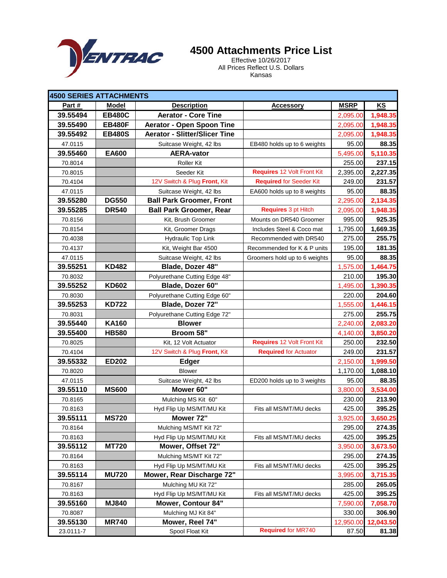

### **4500 Attachments Price List**

Effective 10/26/2017 All Prices Reflect U.S. Dollars Kansas

| 4500 SERIES ATTACHMENTS |               |                                      |                                |             |           |
|-------------------------|---------------|--------------------------------------|--------------------------------|-------------|-----------|
| Part #                  | <b>Model</b>  | <b>Description</b>                   | <b>Accessory</b>               | <b>MSRP</b> | <b>KS</b> |
| 39.55494                | <b>EB480C</b> | <b>Aerator - Core Tine</b>           |                                | 2,095.00    | 1,948.35  |
| 39.55490                | <b>EB480F</b> | <b>Aerator - Open Spoon Tine</b>     |                                | 2,095.00    | 1,948.35  |
| 39.55492                | <b>EB480S</b> | <b>Aerator - Slitter/Slicer Tine</b> |                                | 2,095.00    | 1,948.35  |
| 47.0115                 |               | Suitcase Weight, 42 lbs              | EB480 holds up to 6 weights    | 95.00       | 88.35     |
| 39.55460                | <b>EA600</b>  | <b>AERA-vator</b>                    |                                | 5,495.00    | 5,110.35  |
| 70.8014                 |               | <b>Roller Kit</b>                    |                                | 255.00      | 237.15    |
| 70.8015                 |               | Seeder Kit                           | Requires 12 Volt Front Kit     | 2,395.00    | 2,227.35  |
| 70.4104                 |               | 12V Switch & Plug Front, Kit         | <b>Required for Seeder Kit</b> | 249.00      | 231.57    |
| 47.0115                 |               | Suitcase Weight, 42 lbs              | EA600 holds up to 8 weights    | 95.00       | 88.35     |
| 39.55280                | <b>DG550</b>  | <b>Ball Park Groomer, Front</b>      |                                | 2,295.00    | 2,134.35  |
| 39.55285                | <b>DR540</b>  | <b>Ball Park Groomer, Rear</b>       | <b>Requires 3 pt Hitch</b>     | 2,095.00    | 1,948.35  |
| 70.8156                 |               | Kit, Brush Groomer                   | Mounts on DR540 Groomer        | 995.00      | 925.35    |
| 70.8154                 |               | Kit, Groomer Drags                   | Includes Steel & Coco mat      | 1,795.00    | 1,669.35  |
| 70.4038                 |               | <b>Hydraulic Top Link</b>            | Recommended with DR540         | 275.00      | 255.75    |
| 70.4137                 |               | Kit, Weight Bar 4500                 | Recommended for K & P units    | 195.00      | 181.35    |
| 47.0115                 |               | Suitcase Weight, 42 lbs              | Groomers hold up to 6 weights  | 95.00       | 88.35     |
| 39.55251                | <b>KD482</b>  | Blade, Dozer 48"                     |                                | 1,575.00    | 1,464.75  |
| 70.8032                 |               | Polyurethane Cutting Edge 48"        |                                | 210.00      | 195.30    |
| 39.55252                | <b>KD602</b>  | Blade, Dozer 60"                     |                                | 1,495.00    | 1,390.35  |
| 70.8030                 |               | Polyurethane Cutting Edge 60"        |                                | 220.00      | 204.60    |
| 39.55253                | <b>KD722</b>  | Blade, Dozer 72"                     |                                | 1,555.00    | 1,446.15  |
| 70.8031                 |               | Polyurethane Cutting Edge 72"        |                                | 275.00      | 255.75    |
| 39.55440                | <b>KA160</b>  | <b>Blower</b>                        |                                | 2,240.00    | 2,083.20  |
| 39.55400                | <b>HB580</b>  | Broom 58"                            |                                | 4,140.00    | 3,850.20  |
| 70.8025                 |               | Kit, 12 Volt Actuator                | Requires 12 Volt Front Kit     | 250.00      | 232.50    |
| 70.4104                 |               | 12V Switch & Plug Front, Kit         | <b>Required for Actuator</b>   | 249.00      | 231.57    |
| 39.55332                | <b>ED202</b>  | <b>Edger</b>                         |                                | 2,150.00    | 1,999.50  |
| 70.8020                 |               | <b>Blower</b>                        |                                | 1,170.00    | 1,088.10  |
| 47.0115                 |               | Suitcase Weight, 42 lbs              | ED200 holds up to 3 weights    | 95.00       | 88.35     |
| 39.55110                | <b>MS600</b>  | Mower 60"                            |                                | 3,800.00    | 3,534.00  |
| 70.8165                 |               | Mulching MS Kit 60"                  |                                | 230.00      | 213.90    |
| 70.8163                 |               | Hyd Flip Up MS/MT/MU Kit             | Fits all MS/MT/MU decks        | 425.00      | 395.25    |
| 39.55111                | <b>MS720</b>  | Mower 72"                            |                                | 3,925.00    | 3,650.25  |
| 70.8164                 |               | Mulching MS/MT Kit 72"               |                                | 295.00      | 274.35    |
| 70.8163                 |               | Hyd Flip Up MS/MT/MU Kit             | Fits all MS/MT/MU decks        | 425.00      | 395.25    |
| 39.55112                | <b>MT720</b>  | Mower, Offset 72"                    |                                | 3,950.00    | 3,673.50  |
| 70.8164                 |               | Mulching MS/MT Kit 72"               |                                | 295.00      | 274.35    |
| 70.8163                 |               | Hyd Flip Up MS/MT/MU Kit             | Fits all MS/MT/MU decks        | 425.00      | 395.25    |
| 39.55114                | <b>MU720</b>  | Mower, Rear Discharge 72"            |                                | 3,995.00    | 3,715.35  |
| 70.8167                 |               | Mulching MU Kit 72"                  |                                | 285.00      | 265.05    |
| 70.8163                 |               | Hyd Flip Up MS/MT/MU Kit             | Fits all MS/MT/MU decks        | 425.00      | 395.25    |
| 39.55160                | <b>MJ840</b>  | Mower, Contour 84"                   |                                | 7,590.00    | 7,058.70  |
| 70.8087                 |               | Mulching MJ Kit 84"                  |                                | 330.00      | 306.90    |
| 39.55130                | <b>MR740</b>  | Mower, Reel 74"                      |                                | 12,950.00   | 12,043.50 |
| 23.0111-7               |               | Spool Float Kit                      | <b>Required for MR740</b>      | 87.50       | 81.38     |